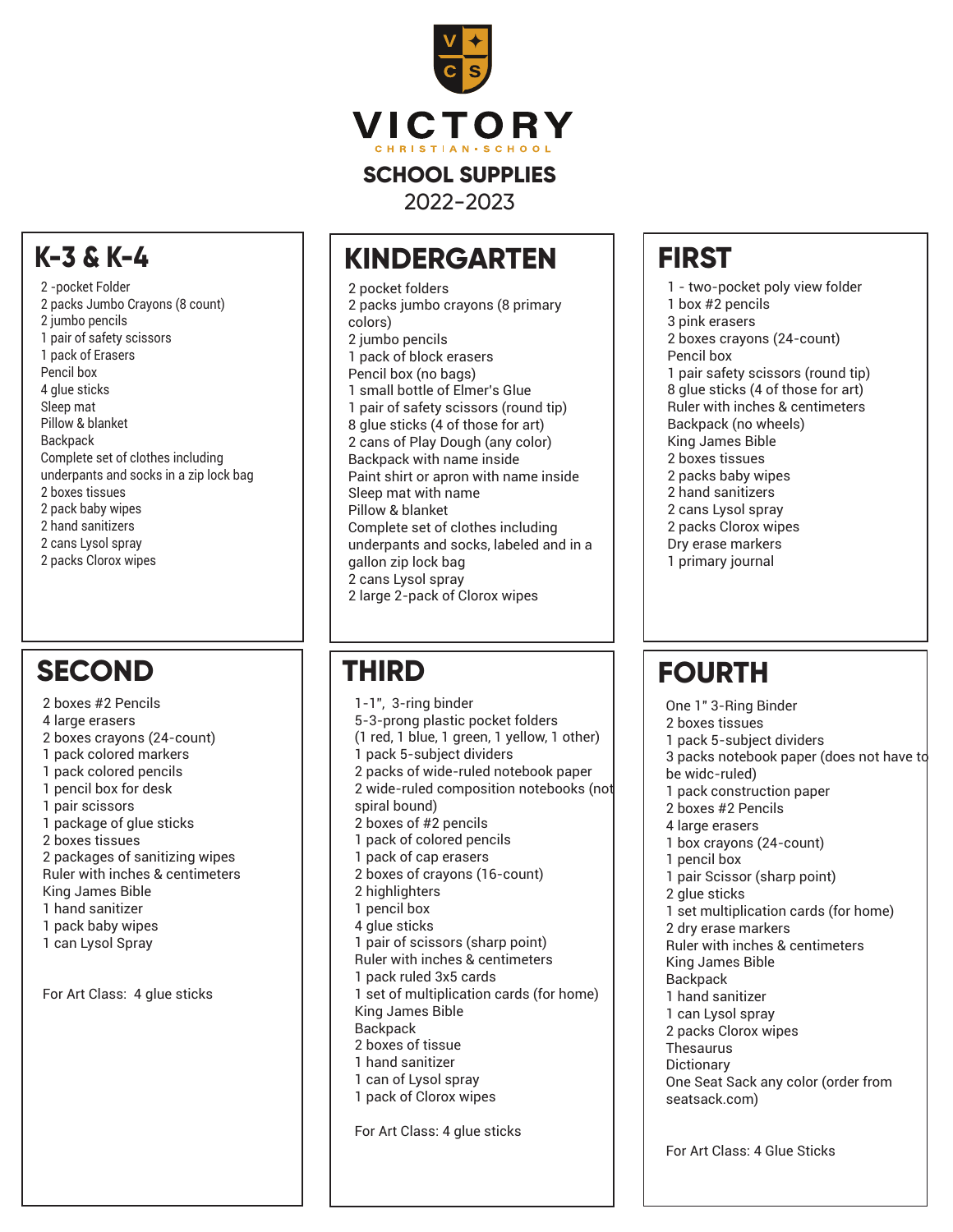

2022-2023

#### **KINDERGARTEN**

2 pocket folders 2 packs jumbo crayons (8 primary colors) 2 jumbo pencils 1 pack of block erasers Pencil box (no bags) 1 small bottle of Elmer's Glue 1 pair of safety scissors (round tip) 8 glue sticks (4 of those for art) 2 cans of Play Dough (any color) Backpack with name inside Paint shirt or apron with name inside Sleep mat with name Pillow & blanket Complete set of clothes including underpants and socks, labeled and in a gallon zip lock bag 2 cans Lysol spray 2 large 2-pack of Clorox wipes

1-1", 3-ring binder 5-3-prong plastic pocket folders (1 red, 1 blue, 1 green, 1 yellow, 1 other) 1 pack 5-subject dividers 2 packs of wide-ruled notebook paper 2 wide-ruled composition notebooks (not spiral bound) 2 boxes of #2 pencils 1 pack of colored pencils 1 pack of cap erasers 2 boxes of crayons (16-count) 2 highlighters 1 pencil box 4 glue sticks 1 pair of scissors (sharp point) Ruler with inches & centimeters 1 pack ruled 3x5 cards 1 set of multiplication cards (for home) King James Bible **Backpack** 2 boxes of tissue 1 hand sanitizer 1 can of Lysol spray 1 pack of Clorox wipes For Art Class: 4 glue sticks

#### **FIRST**

1 - two-pocket poly view folder 1 box #2 pencils 3 pink erasers 2 boxes crayons (24-count) Pencil box 1 pair safety scissors (round tip) 8 glue sticks (4 of those for art) Ruler with inches & centimeters Backpack (no wheels) King James Bible 2 boxes tissues 2 packs baby wipes 2 hand sanitizers 2 cans Lysol spray 2 packs Clorox wipes Dry erase markers 1 primary journal

# **THIRD FOURTH**

One 1" 3-Ring Binder 2 boxes tissues 1 pack 5-subject dividers 3 packs notebook paper (does not have to be widc-ruled) 1 pack construction paper 2 boxes #2 Pencils 4 large erasers 1 box crayons (24-count) 1 pencil box 1 pair Scissor (sharp point) 2 glue sticks 1 set multiplication cards (for home) 2 dry erase markers Ruler with inches & centimeters King James Bible **Backpack** 1 hand sanitizer 1 can Lysol spray 2 packs Clorox wipes Thesaurus **Dictionary** One Seat Sack any color (order from seatsack.com)

For Art Class: 4 Glue Sticks

#### **K-3 & K-4**

2 -pocket Folder 2 packs Jumbo Crayons (8 count) 2 jumbo pencils 1 pair of safety scissors 1 pack of Erasers Pencil box 4 glue sticks Sleep mat Pillow & blanket **Backpack** Complete set of clothes including underpants and socks in a zip lock bag 2 boxes tissues 2 pack baby wipes 2 hand sanitizers 2 cans Lysol spray 2 packs Clorox wipes

### **SECOND**

2 boxes #2 Pencils 4 large erasers 2 boxes crayons (24-count) 1 pack colored markers 1 pack colored pencils 1 pencil box for desk 1 pair scissors 1 package of glue sticks 2 boxes tissues 2 packages of sanitizing wipes Ruler with inches & centimeters King James Bible 1 hand sanitizer 1 pack baby wipes 1 can Lysol Spray

For Art Class: 4 glue sticks